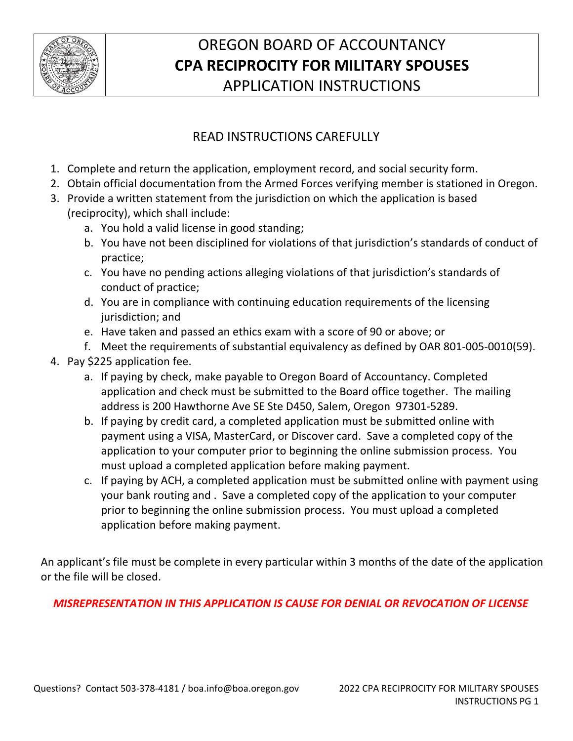

# OREGON BOARD OF ACCOUNTANCY **CPA RECIPROCITY FOR MILITARY SPOUSES** APPLICATION INSTRUCTIONS

# READ INSTRUCTIONS CAREFULLY

- 1. Complete and return the application, employment record, and social security form.
- 2. Obtain official documentation from the Armed Forces verifying member is stationed in Oregon.
- 3. Provide a written statement from the jurisdiction on which the application is based (reciprocity), which shall include:
	- a. You hold a valid license in good standing;
	- b. You have not been disciplined for violations of that jurisdiction's standards of conduct of practice;
	- c. You have no pending actions alleging violations of that jurisdiction's standards of conduct of practice;
	- d. You are in compliance with continuing education requirements of the licensing jurisdiction; and
	- e. Have taken and passed an ethics exam with a score of 90 or above; or
	- f. Meet the requirements of substantial equivalency as defined by OAR 801-005-0010(59).
- 4. Pay \$225 application fee.
	- a. If paying by check, make payable to Oregon Board of Accountancy. Completed application and check must be submitted to the Board office together. The mailing address is 200 Hawthorne Ave SE Ste D450, Salem, Oregon 97301-5289.
	- b. If paying by credit card, a completed application must be submitted online with payment using a VISA, MasterCard, or Discover card. Save a completed copy of the application to your computer prior to beginning the online submission process. You must upload a completed application before making payment.
	- c. If paying by ACH, a completed application must be submitted online with payment using your bank routing and . Save a completed copy of the application to your computer prior to beginning the online submission process. You must upload a completed application before making payment.

An applicant's file must be complete in every particular within 3 months of the date of the application or the file will be closed.

### *MISREPRESENTATION IN THIS APPLICATION IS CAUSE FOR DENIAL OR REVOCATION OF LICENSE*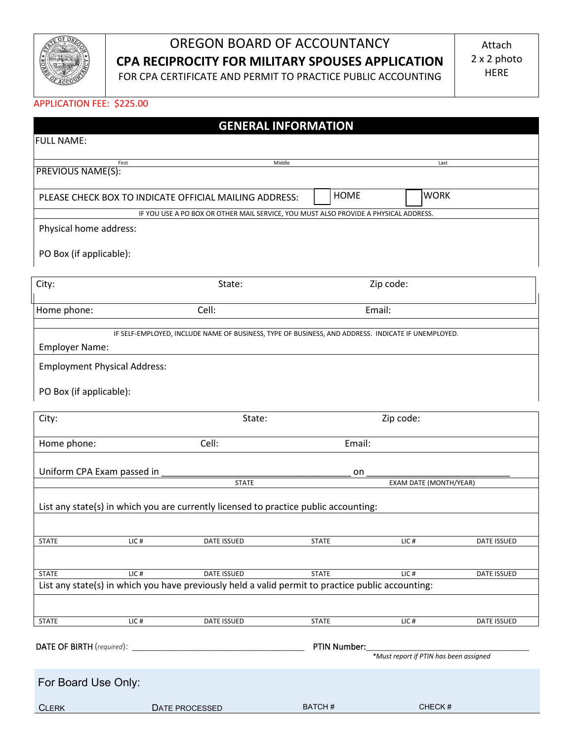

# OREGON BOARD OF ACCOUNTANCY **CPA RECIPROCITY FOR MILITARY SPOUSES APPLICATION**

FOR CPA CERTIFICATE AND PERMIT TO PRACTICE PUBLIC ACCOUNTING

#### APPLICATION FEE: \$225.00

|                                           |                                                                                                                         | <b>GENERAL INFORMATION</b> |             |                                        |  |
|-------------------------------------------|-------------------------------------------------------------------------------------------------------------------------|----------------------------|-------------|----------------------------------------|--|
| <b>FULL NAME:</b>                         |                                                                                                                         |                            |             |                                        |  |
| First                                     |                                                                                                                         | Middle                     |             | Last                                   |  |
| <b>PREVIOUS NAME(S):</b>                  |                                                                                                                         |                            |             |                                        |  |
|                                           |                                                                                                                         |                            | <b>HOME</b> | <b>WORK</b>                            |  |
|                                           | PLEASE CHECK BOX TO INDICATE OFFICIAL MAILING ADDRESS:                                                                  |                            |             |                                        |  |
| Physical home address:                    | IF YOU USE A PO BOX OR OTHER MAIL SERVICE, YOU MUST ALSO PROVIDE A PHYSICAL ADDRESS.                                    |                            |             |                                        |  |
|                                           |                                                                                                                         |                            |             |                                        |  |
| PO Box (if applicable):                   |                                                                                                                         |                            |             |                                        |  |
|                                           |                                                                                                                         |                            |             |                                        |  |
| City:                                     | State:                                                                                                                  |                            | Zip code:   |                                        |  |
| Home phone:                               | Cell:                                                                                                                   |                            | Email:      |                                        |  |
|                                           |                                                                                                                         |                            |             |                                        |  |
|                                           | IF SELF-EMPLOYED, INCLUDE NAME OF BUSINESS, TYPE OF BUSINESS, AND ADDRESS. INDICATE IF UNEMPLOYED.                      |                            |             |                                        |  |
| <b>Employer Name:</b>                     |                                                                                                                         |                            |             |                                        |  |
| <b>Employment Physical Address:</b>       |                                                                                                                         |                            |             |                                        |  |
| PO Box (if applicable):                   |                                                                                                                         |                            |             |                                        |  |
|                                           |                                                                                                                         |                            |             |                                        |  |
| City:                                     | State:                                                                                                                  |                            | Zip code:   |                                        |  |
|                                           |                                                                                                                         |                            |             |                                        |  |
| Home phone:                               | Cell:                                                                                                                   |                            | Email:      |                                        |  |
| Uniform CPA Exam passed in                |                                                                                                                         |                            | on          |                                        |  |
|                                           | <b>STATE</b>                                                                                                            |                            |             | EXAM DATE (MONTH/YEAR)                 |  |
|                                           |                                                                                                                         |                            |             |                                        |  |
|                                           | List any state(s) in which you are currently licensed to practice public accounting:                                    |                            |             |                                        |  |
|                                           |                                                                                                                         |                            |             |                                        |  |
| LIC#<br>STATE                             | DATE ISSUED                                                                                                             | <b>STATE</b>               | LIC#        | DATE ISSUED                            |  |
|                                           |                                                                                                                         |                            |             |                                        |  |
| <b>STATE</b><br>$LIC$ #                   | <b>DATE ISSUED</b><br>List any state(s) in which you have previously held a valid permit to practice public accounting: | <b>STATE</b>               | $LIC$ #     | <b>DATE ISSUED</b>                     |  |
|                                           |                                                                                                                         |                            |             |                                        |  |
|                                           |                                                                                                                         |                            |             |                                        |  |
| LIC#<br><b>STATE</b>                      | DATE ISSUED                                                                                                             | <b>STATE</b>               | LIC#        | <b>DATE ISSUED</b>                     |  |
| DATE OF BIRTH (required):<br>PTIN Number: |                                                                                                                         |                            |             |                                        |  |
|                                           |                                                                                                                         |                            |             | *Must report if PTIN has been assigned |  |
| For Board Use Only:                       |                                                                                                                         |                            |             |                                        |  |
|                                           |                                                                                                                         |                            |             |                                        |  |
| <b>CLERK</b>                              | DATE PROCESSED                                                                                                          | BATCH#                     |             | CHECK#                                 |  |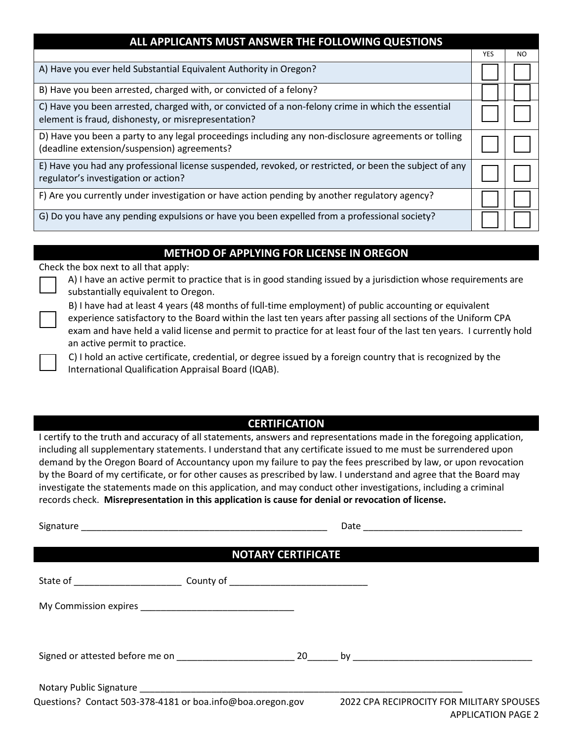| ALL APPLICANTS MUST ANSWER THE FOLLOWING QUESTIONS                                                                                                        |            |     |  |  |  |  |
|-----------------------------------------------------------------------------------------------------------------------------------------------------------|------------|-----|--|--|--|--|
|                                                                                                                                                           | <b>YES</b> | NO. |  |  |  |  |
| A) Have you ever held Substantial Equivalent Authority in Oregon?                                                                                         |            |     |  |  |  |  |
| B) Have you been arrested, charged with, or convicted of a felony?                                                                                        |            |     |  |  |  |  |
| C) Have you been arrested, charged with, or convicted of a non-felony crime in which the essential<br>element is fraud, dishonesty, or misrepresentation? |            |     |  |  |  |  |
| D) Have you been a party to any legal proceedings including any non-disclosure agreements or tolling<br>(deadline extension/suspension) agreements?       |            |     |  |  |  |  |
| E) Have you had any professional license suspended, revoked, or restricted, or been the subject of any<br>regulator's investigation or action?            |            |     |  |  |  |  |
| F) Are you currently under investigation or have action pending by another regulatory agency?                                                             |            |     |  |  |  |  |
| G) Do you have any pending expulsions or have you been expelled from a professional society?                                                              |            |     |  |  |  |  |

### **METHOD OF APPLYING FOR LICENSE IN OREGON**

Check the box next to all that apply:

A) I have an active permit to practice that is in good standing issued by a jurisdiction whose requirements are substantially equivalent to Oregon.



B) I have had at least 4 years (48 months of full-time employment) of public accounting or equivalent experience satisfactory to the Board within the last ten years after passing all sections of the Uniform CPA exam and have held a valid license and permit to practice for at least four of the last ten years. I currently hold an active permit to practice.

C) I hold an active certificate, credential, or degree issued by a foreign country that is recognized by the International Qualification Appraisal Board (IQAB).

### **CERTIFICATION**

I certify to the truth and accuracy of all statements, answers and representations made in the foregoing application, including all supplementary statements. I understand that any certificate issued to me must be surrendered upon demand by the Oregon Board of Accountancy upon my failure to pay the fees prescribed by law, or upon revocation by the Board of my certificate, or for other causes as prescribed by law. I understand and agree that the Board may investigate the statements made on this application, and may conduct other investigations, including a criminal records check. **Misrepresentation in this application is cause for denial or revocation of license.**

Signature \_\_\_\_\_\_\_\_\_\_\_\_\_\_\_\_\_\_\_\_\_\_\_\_\_\_\_\_\_\_\_\_\_\_\_\_\_\_\_\_\_\_\_\_\_\_\_\_ Date \_\_\_\_\_\_\_\_\_\_\_\_\_\_\_\_\_\_\_\_\_\_\_\_\_\_\_\_\_\_\_

### **NOTARY CERTIFICATE**

| State of _______________________                           | County of _________________________________ |    |                                           |  |  |
|------------------------------------------------------------|---------------------------------------------|----|-------------------------------------------|--|--|
|                                                            |                                             |    |                                           |  |  |
| Signed or attested before me on                            |                                             | 20 |                                           |  |  |
|                                                            |                                             |    |                                           |  |  |
| Questions? Contact 503-378-4181 or boa.info@boa.oregon.gov |                                             |    | 2022 CPA RECIPROCITY FOR MILITARY SPOUSES |  |  |